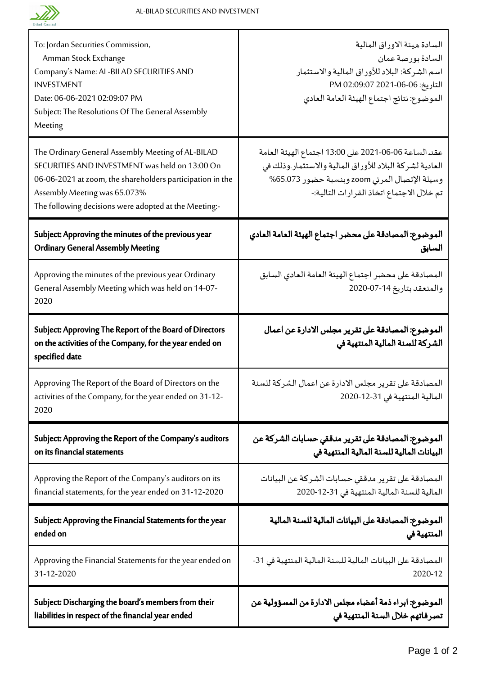

Т

| To: Jordan Securities Commission,<br>Amman Stock Exchange<br>Company's Name: AL-BILAD SECURITIES AND<br><b>INVESTMENT</b><br>Date: 06-06-2021 02:09:07 PM<br>Subject: The Resolutions Of The General Assembly<br>Meeting                                  | السادة ميئة الاوراق المالية<br>السادة بورصة عمان<br>اسم الشركة: البلاد للأوراق المالية والاستثمار<br>التاريخ: 06-06-2021 02:09:07 PM<br>الموضوع: نتائج اجتماع الهيئة العامة العادي                            |
|-----------------------------------------------------------------------------------------------------------------------------------------------------------------------------------------------------------------------------------------------------------|---------------------------------------------------------------------------------------------------------------------------------------------------------------------------------------------------------------|
| The Ordinary General Assembly Meeting of AL-BILAD<br>SECURITIES AND INVESTMENT was held on 13:00 On<br>06-06-2021 at zoom, the shareholders participation in the<br>Assembly Meeting was 65.073%<br>The following decisions were adopted at the Meeting:- | عقد الساعة 06-06-2021 على 13:00 اجتماع الهيئة العامة<br>العادية لشركة البلاد للأوراق المالية والاستثمار وذلك في<br>وسيلة الإتصال المرئي zoom وبنسبة حضور 65.073%<br>تم خلال الاجتماع اتخاذ القرارات التالية:- |
| Subject: Approving the minutes of the previous year                                                                                                                                                                                                       | الموضوع: المصادقة على محضر اجتماع الهيئة العامة العادي                                                                                                                                                        |
| <b>Ordinary General Assembly Meeting</b>                                                                                                                                                                                                                  | السابق                                                                                                                                                                                                        |
| Approving the minutes of the previous year Ordinary<br>General Assembly Meeting which was held on 14-07-<br>2020                                                                                                                                          | المصادقة على محضر اجتماع الهيئة العامة العادي السابق<br>والمنعقد بتاريخ 14-07-2020                                                                                                                            |
| Subject: Approving The Report of the Board of Directors<br>on the activities of the Company, for the year ended on<br>specified date                                                                                                                      | الموضوع: المصادقة على تقرير مجلس الادارة عن اعمال<br>الشركة للسنة المالية المنتهية في                                                                                                                         |
| Approving The Report of the Board of Directors on the<br>activities of the Company, for the year ended on 31-12-<br>2020                                                                                                                                  | المصادقة على تقرير مجلس الادارة عن اعمال الشركة للسنة<br>المالية المنتهية في 31-12-2020                                                                                                                       |
| Subject: Approving the Report of the Company's auditors                                                                                                                                                                                                   | الموضوع: المصادقة على تقرير مدققي حسابات الشركة عن                                                                                                                                                            |
| on its financial statements                                                                                                                                                                                                                               | البيانات المالية للسنة المالية المنتهية في                                                                                                                                                                    |
| Approving the Report of the Company's auditors on its                                                                                                                                                                                                     | المصادقة على تقرير مدققى حسابات الشركة عن البيانات                                                                                                                                                            |
| financial statements, for the year ended on 31-12-2020                                                                                                                                                                                                    | المالية للسنة المالية المنتهية في 31-12-2020                                                                                                                                                                  |
| Subject: Approving the Financial Statements for the year                                                                                                                                                                                                  | الموضوع: المصادقة على البيانات المالية للسنة المالية                                                                                                                                                          |
| ended on                                                                                                                                                                                                                                                  | المنتهية فى                                                                                                                                                                                                   |
| Approving the Financial Statements for the year ended on                                                                                                                                                                                                  | المصادقة على البيانات المالية للسنة المالية المنتهية في 31-                                                                                                                                                   |
| 31-12-2020                                                                                                                                                                                                                                                | 2020-12                                                                                                                                                                                                       |
| Subject: Discharging the board's members from their                                                                                                                                                                                                       | الموضوع: ابراء ذمة أعضاء مجلس الادارة من المسؤولية عن                                                                                                                                                         |
| liabilities in respect of the financial year ended                                                                                                                                                                                                        | تصرفاتهم خلال السنة المنتهية في                                                                                                                                                                               |